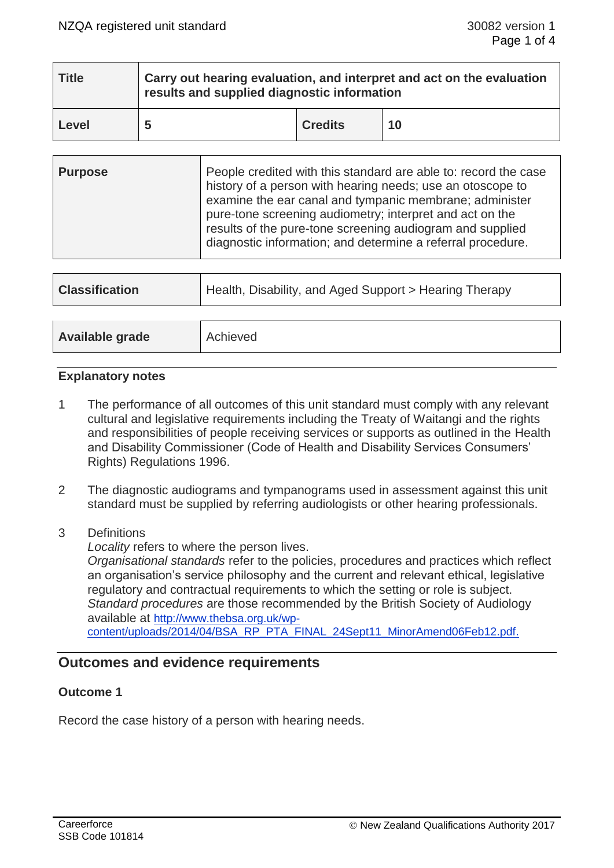| <b>Title</b> | Carry out hearing evaluation, and interpret and act on the evaluation<br>results and supplied diagnostic information |                |    |  |  |
|--------------|----------------------------------------------------------------------------------------------------------------------|----------------|----|--|--|
| Level        | 5                                                                                                                    | <b>Credits</b> | 10 |  |  |

| <b>Purpose</b> | People credited with this standard are able to: record the case<br>history of a person with hearing needs; use an otoscope to<br>examine the ear canal and tympanic membrane; administer<br>pure-tone screening audiometry; interpret and act on the<br>results of the pure-tone screening audiogram and supplied |
|----------------|-------------------------------------------------------------------------------------------------------------------------------------------------------------------------------------------------------------------------------------------------------------------------------------------------------------------|
|                | diagnostic information; and determine a referral procedure.                                                                                                                                                                                                                                                       |

| <b>Classification</b> | Health, Disability, and Aged Support > Hearing Therapy |  |  |  |  |
|-----------------------|--------------------------------------------------------|--|--|--|--|
|                       |                                                        |  |  |  |  |
| Available grade       | Achieved                                               |  |  |  |  |

### **Explanatory notes**

- 1 The performance of all outcomes of this unit standard must comply with any relevant cultural and legislative requirements including the Treaty of Waitangi and the rights and responsibilities of people receiving services or supports as outlined in the Health and Disability Commissioner (Code of Health and Disability Services Consumers' Rights) Regulations 1996.
- 2 The diagnostic audiograms and tympanograms used in assessment against this unit standard must be supplied by referring audiologists or other hearing professionals.
- 3 Definitions

*Locality* refers to where the person lives.

*Organisational standards* refer to the policies, procedures and practices which reflect an organisation's service philosophy and the current and relevant ethical, legislative regulatory and contractual requirements to which the setting or role is subject. *Standard procedures* are those recommended by the British Society of Audiology available at [http://www.thebsa.org.uk/wp](http://www.thebsa.org.uk/wp-content/uploads/2014/04/BSA_RP_PTA_FINAL_24Sept11_MinorAmend06Feb12.pdf)[content/uploads/2014/04/BSA\\_RP\\_PTA\\_FINAL\\_24Sept11\\_MinorAmend06Feb12.pdf.](http://www.thebsa.org.uk/wp-content/uploads/2014/04/BSA_RP_PTA_FINAL_24Sept11_MinorAmend06Feb12.pdf)

# **Outcomes and evidence requirements**

## **Outcome 1**

Record the case history of a person with hearing needs.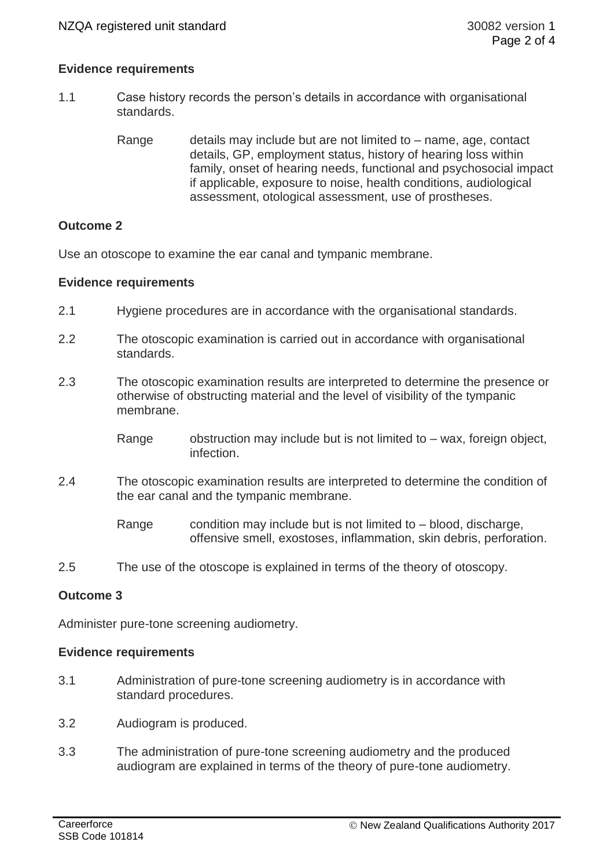## **Evidence requirements**

- 1.1 Case history records the person's details in accordance with organisational standards.
	- Range details may include but are not limited to  $-$  name, age, contact details, GP, employment status, history of hearing loss within family, onset of hearing needs, functional and psychosocial impact if applicable, exposure to noise, health conditions, audiological assessment, otological assessment, use of prostheses.

# **Outcome 2**

Use an otoscope to examine the ear canal and tympanic membrane.

## **Evidence requirements**

- 2.1 Hygiene procedures are in accordance with the organisational standards.
- 2.2 The otoscopic examination is carried out in accordance with organisational standards.
- 2.3 The otoscopic examination results are interpreted to determine the presence or otherwise of obstructing material and the level of visibility of the tympanic membrane.
	- Range  $\qquad$  obstruction may include but is not limited to  $-$  wax, foreign object, infection.
- 2.4 The otoscopic examination results are interpreted to determine the condition of the ear canal and the tympanic membrane.

Range condition may include but is not limited to  $-$  blood, discharge, offensive smell, exostoses, inflammation, skin debris, perforation.

2.5 The use of the otoscope is explained in terms of the theory of otoscopy.

## **Outcome 3**

Administer pure-tone screening audiometry.

## **Evidence requirements**

- 3.1 Administration of pure-tone screening audiometry is in accordance with standard procedures.
- 3.2 Audiogram is produced.
- 3.3 The administration of pure-tone screening audiometry and the produced audiogram are explained in terms of the theory of pure-tone audiometry.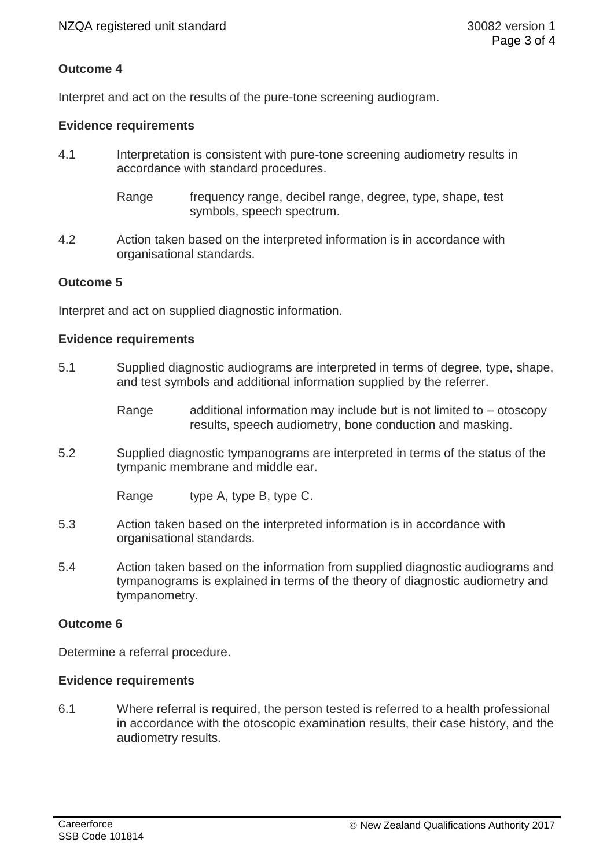# **Outcome 4**

Interpret and act on the results of the pure-tone screening audiogram.

### **Evidence requirements**

- 4.1 Interpretation is consistent with pure-tone screening audiometry results in accordance with standard procedures.
	- Range frequency range, decibel range, degree, type, shape, test symbols, speech spectrum.
- 4.2 Action taken based on the interpreted information is in accordance with organisational standards.

### **Outcome 5**

Interpret and act on supplied diagnostic information.

#### **Evidence requirements**

- 5.1 Supplied diagnostic audiograms are interpreted in terms of degree, type, shape, and test symbols and additional information supplied by the referrer.
	- Range additional information may include but is not limited to  $-$  otoscopy results, speech audiometry, bone conduction and masking.
- 5.2 Supplied diagnostic tympanograms are interpreted in terms of the status of the tympanic membrane and middle ear.

Range type A, type B, type C.

- 5.3 Action taken based on the interpreted information is in accordance with organisational standards.
- 5.4 Action taken based on the information from supplied diagnostic audiograms and tympanograms is explained in terms of the theory of diagnostic audiometry and tympanometry.

#### **Outcome 6**

Determine a referral procedure.

#### **Evidence requirements**

6.1 Where referral is required, the person tested is referred to a health professional in accordance with the otoscopic examination results, their case history, and the audiometry results.